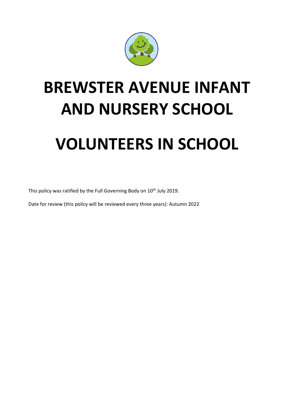

## **BREWSTER AVENUE INFANT AND NURSERY SCHOOL**

# **VOLUNTEERS IN SCHOOL**

This policy was ratified by the Full Governing Body on 10<sup>th</sup> July 2019.

Date for review (this policy will be reviewed every three years): Autumn 2022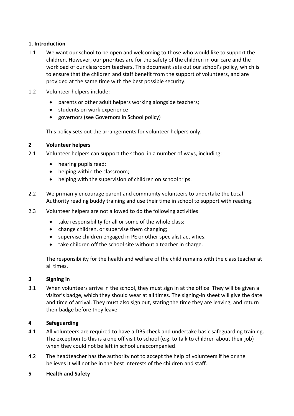#### **1. Introduction**

- 1.1 We want our school to be open and welcoming to those who would like to support the children. However, our priorities are for the safety of the children in our care and the workload of our classroom teachers. This document sets out our school's policy, which is to ensure that the children and staff benefit from the support of volunteers, and are provided at the same time with the best possible security.
- 1.2 Volunteer helpers include:
	- parents or other adult helpers working alongside teachers;
	- **•** students on work experience
	- governors (see Governors in School policy)

This policy sets out the arrangements for volunteer helpers only.

#### **2 Volunteer helpers**

- 2.1 Volunteer helpers can support the school in a number of ways, including:
	- hearing pupils read;
	- helping within the classroom;
	- helping with the supervision of children on school trips.
- 2.2 We primarily encourage parent and community volunteers to undertake the Local Authority reading buddy training and use their time in school to support with reading.
- 2.3 Volunteer helpers are not allowed to do the following activities:
	- take responsibility for all or some of the whole class;
	- change children, or supervise them changing;
	- supervise children engaged in PE or other specialist activities;
	- take children off the school site without a teacher in charge.

The responsibility for the health and welfare of the child remains with the class teacher at all times.

#### **3 Signing in**

3.1 When volunteers arrive in the school, they must sign in at the office. They will be given a visitor's badge, which they should wear at all times. The signing-in sheet will give the date and time of arrival. They must also sign out, stating the time they are leaving, and return their badge before they leave.

#### **4 Safeguarding**

- 4.1 All volunteers are required to have a DBS check and undertake basic safeguarding training. The exception to this is a one off visit to school (e.g. to talk to children about their job) when they could not be left in school unaccompanied.
- 4.2 The headteacher has the authority not to accept the help of volunteers if he or she believes it will not be in the best interests of the children and staff.

#### **5 Health and Safety**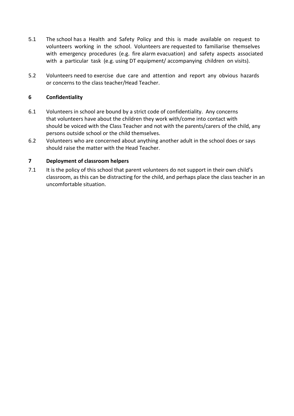- 5.1 The school has a Health and Safety Policy and this is made available on request to volunteers working in the school. Volunteers are requested to familiarise themselves with emergency procedures (e.g. fire alarm evacuation) and safety aspects associated with a particular task (e.g. using DT equipment/ accompanying children on visits).
- 5.2 Volunteers need to exercise due care and attention and report any obvious hazards or concerns to the class teacher/Head Teacher.

#### **6 Confidentiality**

- 6.1 Volunteers in school are bound by a strict code of confidentiality. Any concerns that volunteers have about the children they work with/come into contact with should be voiced with the Class Teacher and not with the parents/carers of the child, any persons outside school or the child themselves.
- 6.2 Volunteers who are concerned about anything another adult in the school does or says should raise the matter with the Head Teacher.

#### **7 Deployment of classroom helpers**

7.1 It is the policy of this school that parent volunteers do not support in their own child's classroom, as this can be distracting for the child, and perhaps place the class teacher in an uncomfortable situation.